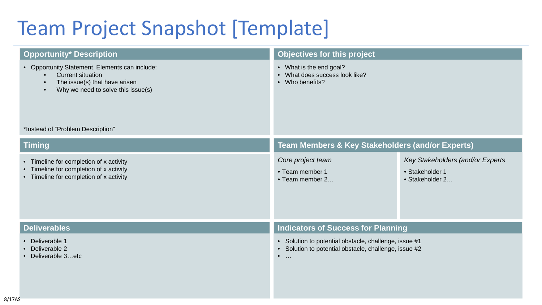# Team Project Snapshot [Template]

| <b>Opportunity* Description</b>                                                                                                                   | Objectives for this project                                                                                                                      |                                                                        |
|---------------------------------------------------------------------------------------------------------------------------------------------------|--------------------------------------------------------------------------------------------------------------------------------------------------|------------------------------------------------------------------------|
| • Opportunity Statement. Elements can include:<br><b>Current situation</b><br>The issue(s) that have arisen<br>Why we need to solve this issue(s) | • What is the end goal?<br>What does success look like?<br>• Who benefits?                                                                       |                                                                        |
| *Instead of "Problem Description"                                                                                                                 |                                                                                                                                                  |                                                                        |
| <b>Timing</b>                                                                                                                                     | <b>Team Members &amp; Key Stakeholders (and/or Experts)</b>                                                                                      |                                                                        |
| • Timeline for completion of x activity<br>• Timeline for completion of x activity<br>• Timeline for completion of x activity                     | Core project team<br>• Team member 1<br>• Team member 2                                                                                          | Key Stakeholders (and/or Experts<br>• Stakeholder 1<br>• Stakeholder 2 |
| <b>Deliverables</b>                                                                                                                               | <b>Indicators of Success for Planning</b>                                                                                                        |                                                                        |
| • Deliverable 1<br>• Deliverable 2<br>• Deliverable 3etc                                                                                          | • Solution to potential obstacle, challenge, issue #1<br>Solution to potential obstacle, challenge, issue #2<br>$\bullet$<br>$\bullet$<br>$\sim$ |                                                                        |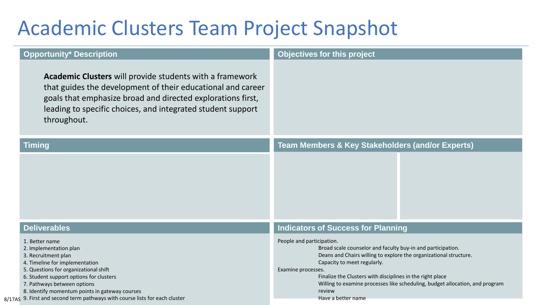#### Academic Clusters Team Project Snapshot

| <b>Opportunity* Description</b>                                                                                                                                                                                                                                        | Objectives for this project                                                                                                                                                                                                                                                                                                                                               |  |
|------------------------------------------------------------------------------------------------------------------------------------------------------------------------------------------------------------------------------------------------------------------------|---------------------------------------------------------------------------------------------------------------------------------------------------------------------------------------------------------------------------------------------------------------------------------------------------------------------------------------------------------------------------|--|
| Academic Clusters will provide students with a framework<br>that guides the development of their educational and career<br>goals that emphasize broad and directed explorations first,<br>leading to specific choices, and integrated student support<br>throughout.   |                                                                                                                                                                                                                                                                                                                                                                           |  |
| <b>Timing</b>                                                                                                                                                                                                                                                          | <b>Team Members &amp; Key Stakeholders (and/or Experts)</b>                                                                                                                                                                                                                                                                                                               |  |
|                                                                                                                                                                                                                                                                        |                                                                                                                                                                                                                                                                                                                                                                           |  |
| <b>Deliverables</b>                                                                                                                                                                                                                                                    | <b>Indicators of Success for Planning</b>                                                                                                                                                                                                                                                                                                                                 |  |
| 1. Better name<br>2. Implementation plan<br>3. Recruitment plan<br>4. Timeline for implementation<br>5. Questions for organizational shift<br>6. Student support options for clusters<br>7. Pathways between options<br>8. Identify momentum points in gateway courses | People and participation.<br>Broad scale counselor and faculty buy-in and participation.<br>Deans and Chairs willing to explore the organizational structure.<br>Capacity to meet regularly.<br>Examine processes.<br>Finalize the Clusters with disciplines in the right place<br>Willing to examine processes like scheduling, budget allocation, and program<br>review |  |
| 8/17AS 9. First and second term pathways with course lists for each cluster                                                                                                                                                                                            | Have a better name                                                                                                                                                                                                                                                                                                                                                        |  |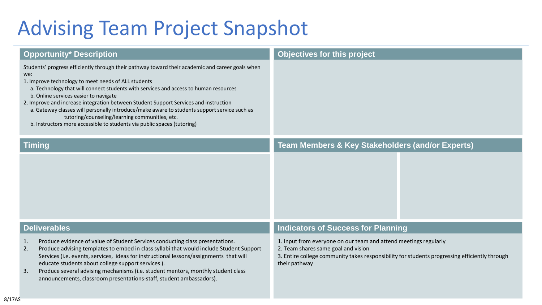## Advising Team Project Snapshot

| <b>Opportunity* Description</b>                                                                                                                                                                                                                                                                                                                                                                                                                                                                                                                                                                                     | Objectives for this project                                                                                                                                                                                               |  |
|---------------------------------------------------------------------------------------------------------------------------------------------------------------------------------------------------------------------------------------------------------------------------------------------------------------------------------------------------------------------------------------------------------------------------------------------------------------------------------------------------------------------------------------------------------------------------------------------------------------------|---------------------------------------------------------------------------------------------------------------------------------------------------------------------------------------------------------------------------|--|
| Students' progress efficiently through their pathway toward their academic and career goals when<br>we:<br>1. Improve technology to meet needs of ALL students<br>a. Technology that will connect students with services and access to human resources<br>b. Online services easier to navigate<br>2. Improve and increase integration between Student Support Services and instruction<br>a. Gateway classes will personally introduce/make aware to students support service such as<br>tutoring/counseling/learning communities, etc.<br>b. Instructors more accessible to students via public spaces (tutoring) |                                                                                                                                                                                                                           |  |
| <b>Timing</b>                                                                                                                                                                                                                                                                                                                                                                                                                                                                                                                                                                                                       | <b>Team Members &amp; Key Stakeholders (and/or Experts)</b>                                                                                                                                                               |  |
|                                                                                                                                                                                                                                                                                                                                                                                                                                                                                                                                                                                                                     |                                                                                                                                                                                                                           |  |
| <b>Deliverables</b>                                                                                                                                                                                                                                                                                                                                                                                                                                                                                                                                                                                                 | <b>Indicators of Success for Planning</b>                                                                                                                                                                                 |  |
| Produce evidence of value of Student Services conducting class presentations.<br>1.<br>Produce advising templates to embed in class syllabi that would include Student Support<br>2.<br>Services (i.e. events, services, ideas for instructional lessons/assignments that will<br>educate students about college support services).<br>Produce several advising mechanisms (i.e. student mentors, monthly student class<br>3.<br>announcements, classroom presentations-staff, student ambassadors).                                                                                                                | 1. Input from everyone on our team and attend meetings regularly<br>2. Team shares same goal and vision<br>3. Entire college community takes responsibility for students progressing efficiently through<br>their pathway |  |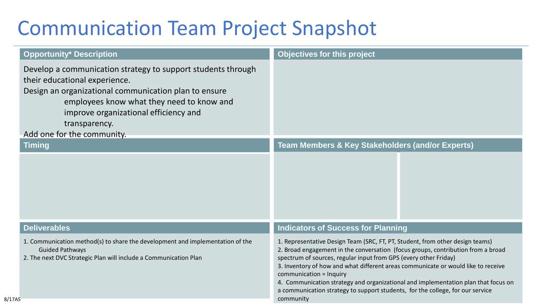### Communication Team Project Snapshot

| <b>Opportunity* Description</b>                                                                                                                                                                                                                                                             | Objectives for this project                                                                                                                                                                                                                                                                                                                                                                                                                                                                                                                |  |
|---------------------------------------------------------------------------------------------------------------------------------------------------------------------------------------------------------------------------------------------------------------------------------------------|--------------------------------------------------------------------------------------------------------------------------------------------------------------------------------------------------------------------------------------------------------------------------------------------------------------------------------------------------------------------------------------------------------------------------------------------------------------------------------------------------------------------------------------------|--|
| Develop a communication strategy to support students through<br>their educational experience.<br>Design an organizational communication plan to ensure<br>employees know what they need to know and<br>improve organizational efficiency and<br>transparency.<br>Add one for the community. |                                                                                                                                                                                                                                                                                                                                                                                                                                                                                                                                            |  |
| <b>Timing</b>                                                                                                                                                                                                                                                                               | <b>Team Members &amp; Key Stakeholders (and/or Experts)</b>                                                                                                                                                                                                                                                                                                                                                                                                                                                                                |  |
|                                                                                                                                                                                                                                                                                             |                                                                                                                                                                                                                                                                                                                                                                                                                                                                                                                                            |  |
| <b>Deliverables</b>                                                                                                                                                                                                                                                                         | <b>Indicators of Success for Planning</b>                                                                                                                                                                                                                                                                                                                                                                                                                                                                                                  |  |
| 1. Communication method(s) to share the development and implementation of the<br><b>Guided Pathways</b><br>2. The next DVC Strategic Plan will include a Communication Plan                                                                                                                 | 1. Representative Design Team (SRC, FT, PT, Student, from other design teams)<br>2. Broad engagement in the conversation (focus groups, contribution from a broad<br>spectrum of sources, regular input from GPS (every other Friday)<br>3. Inventory of how and what different areas communicate or would like to receive<br>communication = Inquiry<br>4. Communication strategy and organizational and implementation plan that focus on<br>a communication strategy to support students, for the college, for our service<br>community |  |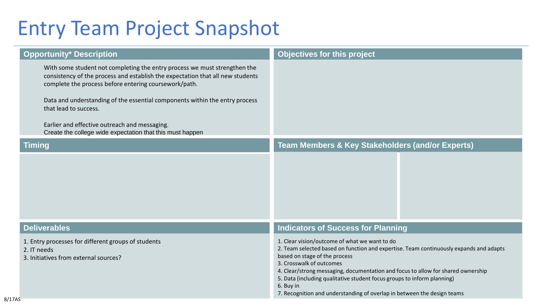### Entry Team Project Snapshot

| <b>Opportunity* Description</b>                                                                                                                                                                                                                                                                                                                                                                                                            | <b>Objectives for this project</b>                                                                                                                                                                                                                                                                                                                                                                                                                          |  |
|--------------------------------------------------------------------------------------------------------------------------------------------------------------------------------------------------------------------------------------------------------------------------------------------------------------------------------------------------------------------------------------------------------------------------------------------|-------------------------------------------------------------------------------------------------------------------------------------------------------------------------------------------------------------------------------------------------------------------------------------------------------------------------------------------------------------------------------------------------------------------------------------------------------------|--|
| With some student not completing the entry process we must strengthen the<br>consistency of the process and establish the expectation that all new students<br>complete the process before entering coursework/path.<br>Data and understanding of the essential components within the entry process<br>that lead to success.<br>Earlier and effective outreach and messaging.<br>Create the college wide expectation that this must happen |                                                                                                                                                                                                                                                                                                                                                                                                                                                             |  |
| <b>Timing</b>                                                                                                                                                                                                                                                                                                                                                                                                                              | <b>Team Members &amp; Key Stakeholders (and/or Experts)</b>                                                                                                                                                                                                                                                                                                                                                                                                 |  |
|                                                                                                                                                                                                                                                                                                                                                                                                                                            |                                                                                                                                                                                                                                                                                                                                                                                                                                                             |  |
| <b>Deliverables</b>                                                                                                                                                                                                                                                                                                                                                                                                                        | <b>Indicators of Success for Planning</b>                                                                                                                                                                                                                                                                                                                                                                                                                   |  |
| 1. Entry processes for different groups of students<br>2. IT needs<br>3. Initiatives from external sources?                                                                                                                                                                                                                                                                                                                                | 1. Clear vision/outcome of what we want to do<br>2. Team selected based on function and expertise. Team continuously expands and adapts<br>based on stage of the process<br>3. Crosswalk of outcomes<br>4. Clear/strong messaging, documentation and focus to allow for shared ownership<br>5. Data (including qualitative student focus groups to inform planning)<br>6. Buy in<br>7. Recognition and understanding of overlap in between the design teams |  |